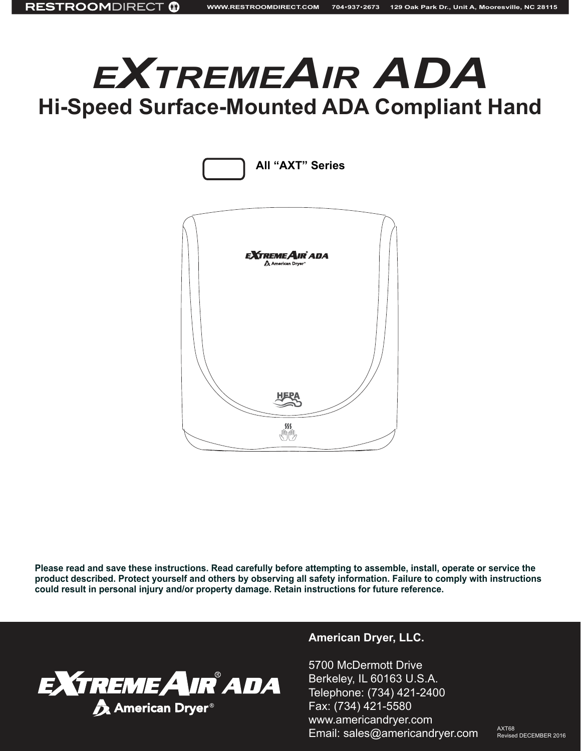# *<sup>e</sup>XtremeAir ADA* **Hi-Speed Surface-Mounted ADA Compliant Hand**



**Please read and save these instructions. Read carefully before attempting to assemble, install, operate or service the product described. Protect yourself and others by observing all safety information. Failure to comply with instructions could result in personal injury and/or property damage. Retain instructions for future reference.**



#### **American Dryer, LLC.**

5700 McDermott Drive Berkeley, IL 60163 U.S.A. Telephone: (734) 421-2400 Fax: (734) 421-5580 www.americandryer.com Email: sales@americandryer.com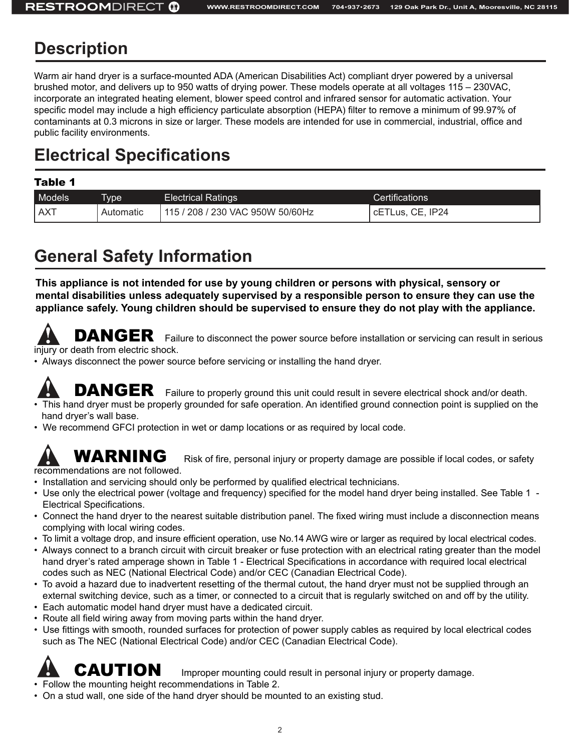### **Description**

Warm air hand dryer is a surface-mounted ADA (American Disabilities Act) compliant dryer powered by a universal brushed motor, and delivers up to 950 watts of drying power. These models operate at all voltages 115 – 230VAC, incorporate an integrated heating element, blower speed control and infrared sensor for automatic activation. Your specific model may include a high efficiency particulate absorption (HEPA) filter to remove a minimum of 99.97% of contaminants at 0.3 microns in size or larger. These models are intended for use in commercial, industrial, office and public facility environments.

## **Electrical Specifications**

#### Table 1

| Models     | <u>Ivpe</u> | <b>Electrical Ratings</b>            | Certifications                |
|------------|-------------|--------------------------------------|-------------------------------|
| <b>AXT</b> | Automatic   | / 208 / 230 VAC 950W 50/60Hz<br>115/ | <sup>I</sup> cETLus, CE, IP24 |

## **General Safety Information**

**This appliance is not intended for use by young children or persons with physical, sensory or mental disabilities unless adequately supervised by a responsible person to ensure they can use the appliance safely. Young children should be supervised to ensure they do not play with the appliance.**

DANGER Failure to disconnect the power source before installation or servicing can result in serious injury or death from electric shock.

• Always disconnect the power source before servicing or installing the hand dryer.

DANGER Failure to properly ground this unit could result in severe electrical shock and/or death.

- This hand dryer must be properly grounded for safe operation. An identified ground connection point is supplied on the hand dryer's wall base.
- We recommend GFCI protection in wet or damp locations or as required by local code.

# recommendations are not followed.

**WARNING** Risk of fire, personal injury or property damage are possible if local codes, or safety

- Installation and servicing should only be performed by qualified electrical technicians.
- Use only the electrical power (voltage and frequency) specified for the model hand dryer being installed. See Table 1 Electrical Specifications.
- Connect the hand dryer to the nearest suitable distribution panel. The fixed wiring must include a disconnection means complying with local wiring codes.
- To limit a voltage drop, and insure efficient operation, use No.14 AWG wire or larger as required by local electrical codes.
- Always connect to a branch circuit with circuit breaker or fuse protection with an electrical rating greater than the model hand dryer's rated amperage shown in Table 1 - Electrical Specifications in accordance with required local electrical codes such as NEC (National Electrical Code) and/or CEC (Canadian Electrical Code).
- To avoid a hazard due to inadvertent resetting of the thermal cutout, the hand dryer must not be supplied through an external switching device, such as a timer, or connected to a circuit that is regularly switched on and off by the utility.
- Each automatic model hand dryer must have a dedicated circuit.
- Route all field wiring away from moving parts within the hand dryer.
- Use fittings with smooth, rounded surfaces for protection of power supply cables as required by local electrical codes such as The NEC (National Electrical Code) and/or CEC (Canadian Electrical Code).

CAUTION Improper mounting could result in personal injury or property damage.

- Follow the mounting height recommendations in Table 2.
- On a stud wall, one side of the hand dryer should be mounted to an existing stud.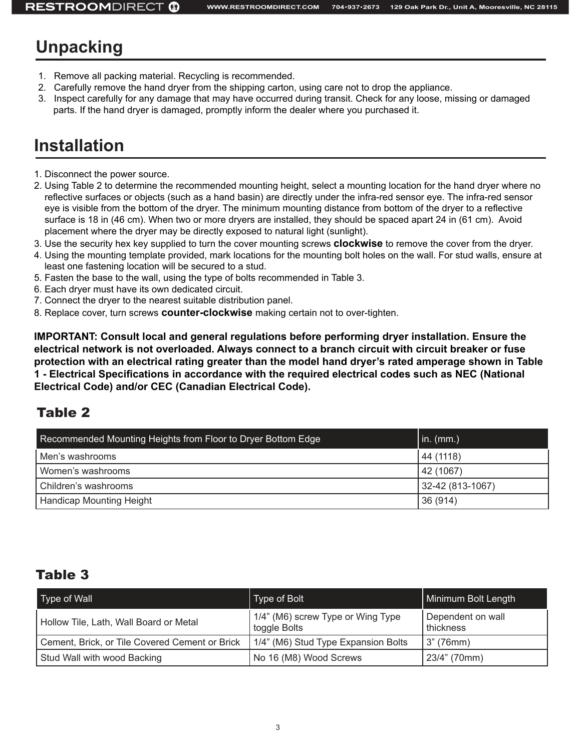## **Unpacking**

- 1. Remove all packing material. Recycling is recommended.
- 2. Carefully remove the hand dryer from the shipping carton, using care not to drop the appliance.
- 3. Inspect carefully for any damage that may have occurred during transit. Check for any loose, missing or damaged parts. If the hand dryer is damaged, promptly inform the dealer where you purchased it.

### **Installation**

- 1. Disconnect the power source.
- 2. Using Table 2 to determine the recommended mounting height, select a mounting location for the hand dryer where no reflective surfaces or objects (such as a hand basin) are directly under the infra-red sensor eye. The infra-red sensor eye is visible from the bottom of the dryer. The minimum mounting distance from bottom of the dryer to a reflective surface is 18 in (46 cm). When two or more dryers are installed, they should be spaced apart 24 in (61 cm). Avoid placement where the dryer may be directly exposed to natural light (sunlight).
- 3. Use the security hex key supplied to turn the cover mounting screws **clockwise** to remove the cover from the dryer.
- 4. Using the mounting template provided, mark locations for the mounting bolt holes on the wall. For stud walls, ensure at least one fastening location will be secured to a stud.
- 5. Fasten the base to the wall, using the type of bolts recommended in Table 3.
- 6. Each dryer must have its own dedicated circuit.
- 7. Connect the dryer to the nearest suitable distribution panel.
- 8. Replace cover, turn screws **counter-clockwise** making certain not to over-tighten.

**IMPORTANT: Consult local and general regulations before performing dryer installation. Ensure the electrical network is not overloaded. Always connect to a branch circuit with circuit breaker or fuse protection with an electrical rating greater than the model hand dryer's rated amperage shown in Table 1 - Electrical Specifications in accordance with the required electrical codes such as NEC (National Electrical Code) and/or CEC (Canadian Electrical Code).**

### Table 2

| Recommended Mounting Heights from Floor to Dryer Bottom Edge | $\vert$ in. (mm.) |
|--------------------------------------------------------------|-------------------|
| Men's washrooms                                              | 44 (1118)         |
| Women's washrooms                                            | 42 (1067)         |
| Children's washrooms                                         | 32-42 (813-1067)  |
| <b>Handicap Mounting Height</b>                              | 36 (914)          |

#### Table 3

| Type of Wall                                   | Type of Bolt                                      | Minimum Bolt Length            |
|------------------------------------------------|---------------------------------------------------|--------------------------------|
| Hollow Tile, Lath, Wall Board or Metal         | 1/4" (M6) screw Type or Wing Type<br>toggle Bolts | Dependent on wall<br>thickness |
| Cement, Brick, or Tile Covered Cement or Brick | 1/4" (M6) Stud Type Expansion Bolts               | 3" (76mm)                      |
| Stud Wall with wood Backing                    | No 16 (M8) Wood Screws                            | 23/4" (70mm)                   |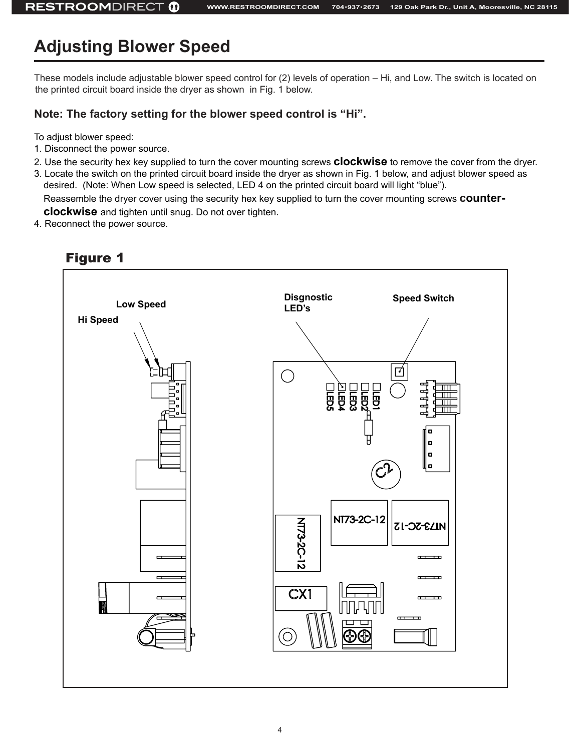## **Adjusting Blower Speed**

These models include adjustable blower speed control for (2) levels of operation – Hi, and Low. The switch is located on the printed circuit board inside the dryer as shown in Fig. 1 below.

#### **Note: The factory setting for the blower speed control is "Hi".**

To adjust blower speed:

- 1. Disconnect the power source.
- 2. Use the security hex key supplied to turn the cover mounting screws **clockwise** to remove the cover from the dryer.
- 3. Locate the switch on the printed circuit board inside the dryer as shown in Fig. 1 below, and adjust blower speed as desired. (Note: When Low speed is selected, LED 4 on the printed circuit board will light "blue"). Reassemble the dryer cover using the security hex key supplied to turn the cover mounting screws **counterclockwise** and tighten until snug. Do not over tighten.
- 4. Reconnect the power source.



#### Figure 1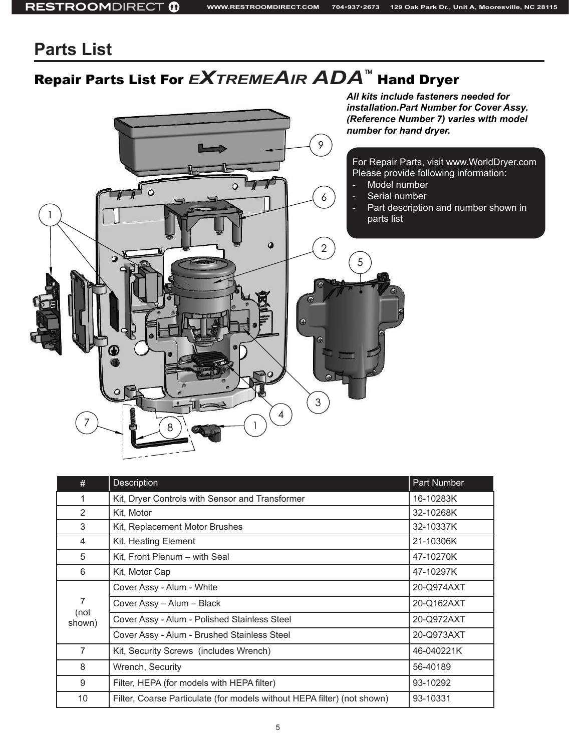### **Parts List**

# Repair Parts List For *<sup>e</sup>XtremeAir ADA*™ Hand Dryer



| #                   | <b>Description</b>                                                      | Part Number |
|---------------------|-------------------------------------------------------------------------|-------------|
| 1                   | Kit, Dryer Controls with Sensor and Transformer                         | 16-10283K   |
| 2                   | Kit, Motor                                                              | 32-10268K   |
| 3                   | Kit, Replacement Motor Brushes                                          | 32-10337K   |
| 4                   | Kit, Heating Element                                                    | 21-10306K   |
| 5                   | Kit, Front Plenum – with Seal                                           | 47-10270K   |
| 6                   | Kit, Motor Cap                                                          | 47-10297K   |
| 7<br>(not<br>shown) | Cover Assy - Alum - White                                               | 20-Q974AXT  |
|                     | Cover Assy - Alum - Black                                               | 20-Q162AXT  |
|                     | Cover Assy - Alum - Polished Stainless Steel                            | 20-Q972AXT  |
|                     | Cover Assy - Alum - Brushed Stainless Steel                             | 20-Q973AXT  |
| $\overline{7}$      | Kit, Security Screws (includes Wrench)                                  | 46-040221K  |
| 8                   | Wrench, Security                                                        | 56-40189    |
| 9                   | Filter, HEPA (for models with HEPA filter)                              | 93-10292    |
| 10                  | Filter, Coarse Particulate (for models without HEPA filter) (not shown) | 93-10331    |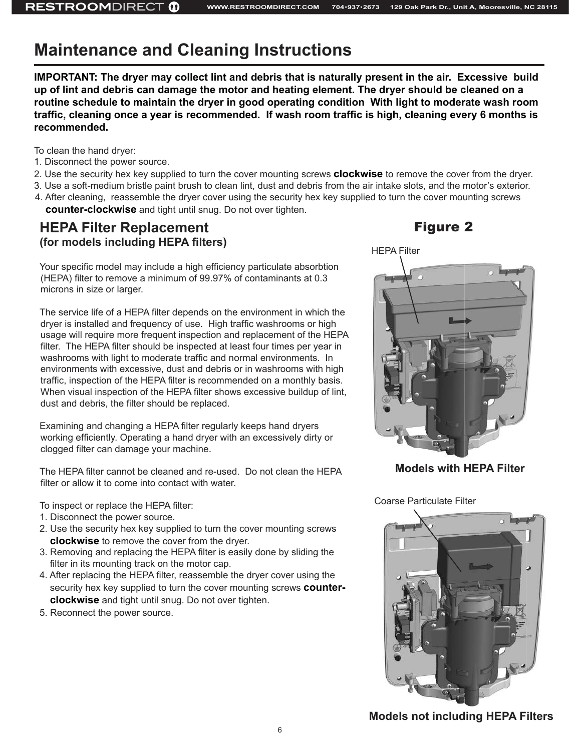### **Maintenance and Cleaning Instructions**

**IMPORTANT: The dryer may collect lint and debris that is naturally present in the air. Excessive build up of lint and debris can damage the motor and heating element. The dryer should be cleaned on a routine schedule to maintain the dryer in good operating condition With light to moderate wash room traffic, cleaning once a year is recommended. If wash room traffic is high, cleaning every 6 months is recommended.**

To clean the hand dryer:

- 1. Disconnect the power source.
- 2. Use the security hex key supplied to turn the cover mounting screws **clockwise** to remove the cover from the dryer.
- 3. Use a soft-medium bristle paint brush to clean lint, dust and debris from the air intake slots, and the motor's exterior.
- 4. After cleaning, reassemble the dryer cover using the security hex key supplied to turn the cover mounting screws **counter-clockwise** and tight until snug. Do not over tighten.

#### **HEPA Filter Replacement (for models including HEPA filters)**

Your specific model may include a high efficiency particulate absorbtion (HEPA) filter to remove a minimum of 99.97% of contaminants at 0.3 microns in size or larger.

The service life of a HEPA filter depends on the environment in which the dryer is installed and frequency of use. High traffic washrooms or high usage will require more frequent inspection and replacement of the HEPA filter. The HEPA filter should be inspected at least four times per year in washrooms with light to moderate traffic and normal environments. In environments with excessive, dust and debris or in washrooms with high traffic, inspection of the HEPA filter is recommended on a monthly basis. When visual inspection of the HEPA filter shows excessive buildup of lint, dust and debris, the filter should be replaced.

Examining and changing a HEPA filter regularly keeps hand dryers working efficiently. Operating a hand dryer with an excessively dirty or clogged filter can damage your machine.

The HEPA filter cannot be cleaned and re-used. Do not clean the HEPA filter or allow it to come into contact with water.

To inspect or replace the HEPA filter:

- 1. Disconnect the power source.
- 2. Use the security hex key supplied to turn the cover mounting screws **clockwise** to remove the cover from the dryer.
- 3. Removing and replacing the HEPA filter is easily done by sliding the filter in its mounting track on the motor cap.
- 4. After replacing the HEPA filter, reassemble the dryer cover using the security hex key supplied to turn the cover mounting screws **counterclockwise** and tight until snug. Do not over tighten.
- 5. Reconnect the power source.

#### Figure 2



**Models with HEPA Filter**

Coarse Particulate Filter



**Models not including HEPA Filters**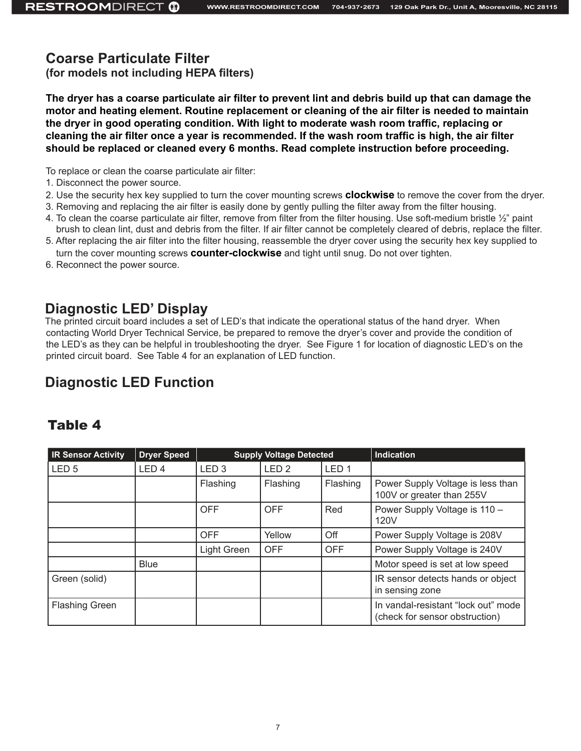#### **Coarse Particulate Filter**

**(for models not including HEPA filters)**

**The dryer has a coarse particulate air filter to prevent lint and debris build up that can damage the motor and heating element. Routine replacement or cleaning of the air filter is needed to maintain the dryer in good operating condition. With light to moderate wash room traffic, replacing or cleaning the air filter once a year is recommended. If the wash room traffic is high, the air filter should be replaced or cleaned every 6 months. Read complete instruction before proceeding.** 

To replace or clean the coarse particulate air filter:

- 1. Disconnect the power source.
- 2. Use the security hex key supplied to turn the cover mounting screws **clockwise** to remove the cover from the dryer.
- 3. Removing and replacing the air filter is easily done by gently pulling the filter away from the filter housing.
- 4. To clean the coarse particulate air filter, remove from filter from the filter housing. Use soft-medium bristle ½" paint brush to clean lint, dust and debris from the filter. If air filter cannot be completely cleared of debris, replace the filter.
- 5. After replacing the air filter into the filter housing, reassemble the dryer cover using the security hex key supplied to turn the cover mounting screws **counter-clockwise** and tight until snug. Do not over tighten.
- 6. Reconnect the power source.

#### **Diagnostic LED' Display**

The printed circuit board includes a set of LED's that indicate the operational status of the hand dryer. When contacting World Dryer Technical Service, be prepared to remove the dryer's cover and provide the condition of the LED's as they can be helpful in troubleshooting the dryer. See Figure 1 for location of diagnostic LED's on the printed circuit board. See Table 4 for an explanation of LED function.

### **Diagnostic LED Function**

#### Table 4

| <b>IR Sensor Activity</b> | <b>Dryer Speed</b> | <b>Supply Voltage Detected</b> |                  | <b>Indication</b> |                                                                       |
|---------------------------|--------------------|--------------------------------|------------------|-------------------|-----------------------------------------------------------------------|
| LED <sub>5</sub>          | LED <sub>4</sub>   | LED <sub>3</sub>               | LED <sub>2</sub> | LED <sub>1</sub>  |                                                                       |
|                           |                    | Flashing                       | Flashing         | Flashing          | Power Supply Voltage is less than<br>100V or greater than 255V        |
|                           |                    | <b>OFF</b>                     | <b>OFF</b>       | Red               | Power Supply Voltage is 110 -<br>120V                                 |
|                           |                    | <b>OFF</b>                     | Yellow           | Off               | Power Supply Voltage is 208V                                          |
|                           |                    | Light Green                    | <b>OFF</b>       | <b>OFF</b>        | Power Supply Voltage is 240V                                          |
|                           | <b>Blue</b>        |                                |                  |                   | Motor speed is set at low speed                                       |
| Green (solid)             |                    |                                |                  |                   | IR sensor detects hands or object<br>in sensing zone                  |
| <b>Flashing Green</b>     |                    |                                |                  |                   | In vandal-resistant "lock out" mode<br>(check for sensor obstruction) |